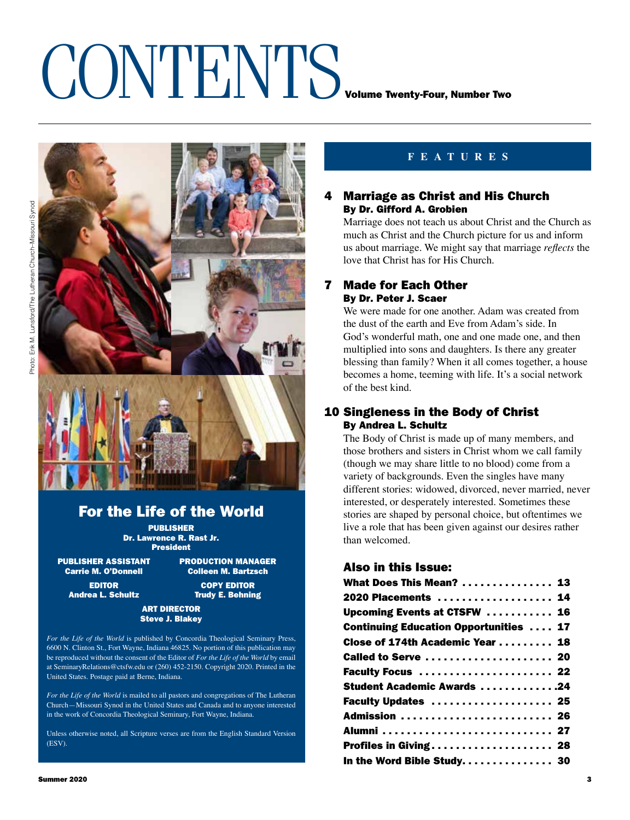### CONTENTS VOLUME TWENTING



### For the Life of the World

PUBLISHER Dr. Lawrence R. Rast Jr. President

PUBLISHER ASSISTANT PRODUCTION MANAGER<br>Carrie M. O'Donnell Colleen M. Bartzsch

**Colleen M. Bartzsch** EDITOR COPY EDITOR

Andrea L. Schultz Trudy E. Behning

### ART DIRECTOR Steve J. Blakey

*For the Life of the World* is published by Concordia Theological Seminary Press, 6600 N. Clinton St., Fort Wayne, Indiana 46825. No portion of this publication may be reproduced without the consent of the Editor of *For the Life of the World* by email at SeminaryRelations@ctsfw.edu or (260) 452-2150. Copyright 2020. Printed in the United States. Postage paid at Berne, Indiana.

*For the Life of the World* is mailed to all pastors and congregations of The Lutheran Church—Missouri Synod in the United States and Canada and to anyone interested in the work of Concordia Theological Seminary, Fort Wayne, Indiana.

Unless otherwise noted, all Scripture verses are from the English Standard Version (ESV).

### **FEATURES**

### 4 Marriage as Christ and His Church By Dr. Gifford A. Grobien

Marriage does not teach us about Christ and the Church as much as Christ and the Church picture for us and inform us about marriage. We might say that marriage *reflects* the love that Christ has for His Church.

### 7 Made for Each Other By Dr. Peter J. Scaer

We were made for one another. Adam was created from the dust of the earth and Eve from Adam's side. In God's wonderful math, one and one made one, and then multiplied into sons and daughters. Is there any greater blessing than family? When it all comes together, a house becomes a home, teeming with life. It's a social network of the best kind.

### 10 Singleness in the Body of Christ By Andrea L. Schultz

The Body of Christ is made up of many members, and those brothers and sisters in Christ whom we call family (though we may share little to no blood) come from a variety of backgrounds. Even the singles have many different stories: widowed, divorced, never married, never interested, or desperately interested. Sometimes these stories are shaped by personal choice, but oftentimes we live a role that has been given against our desires rather than welcomed.

### Also in this Issue:

| What Does This Mean?  13                      |  |
|-----------------------------------------------|--|
| 2020 Placements  14                           |  |
| Upcoming Events at CTSFW  16                  |  |
| <b>Continuing Education Opportunities  17</b> |  |
| Close of 174th Academic Year  18              |  |
| Called to Serve  20                           |  |
| Faculty Focus  22                             |  |
| <b>Student Academic Awards 24</b>             |  |
| Faculty Updates  25                           |  |
| Admission  26                                 |  |
|                                               |  |
| Profiles in Giving 28                         |  |
| In the Word Bible Study. 30                   |  |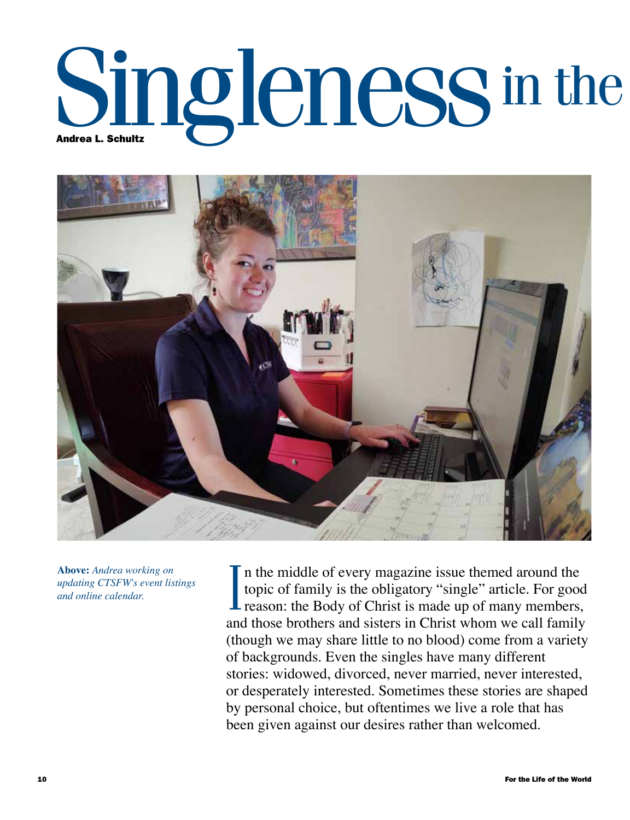# Singleness in the



**Above:** *Andrea working on updating CTSFW's event listings and online calendar.*

In the middle of every magazine issue themed around the topic of family is the obligatory "single" article. For good reason: the Body of Christ is made up of many members, n the middle of every magazine issue themed around the topic of family is the obligatory "single" article. For good and those brothers and sisters in Christ whom we call family (though we may share little to no blood) come from a variety of backgrounds. Even the singles have many different stories: widowed, divorced, never married, never interested, or desperately interested. Sometimes these stories are shaped by personal choice, but oftentimes we live a role that has been given against our desires rather than welcomed.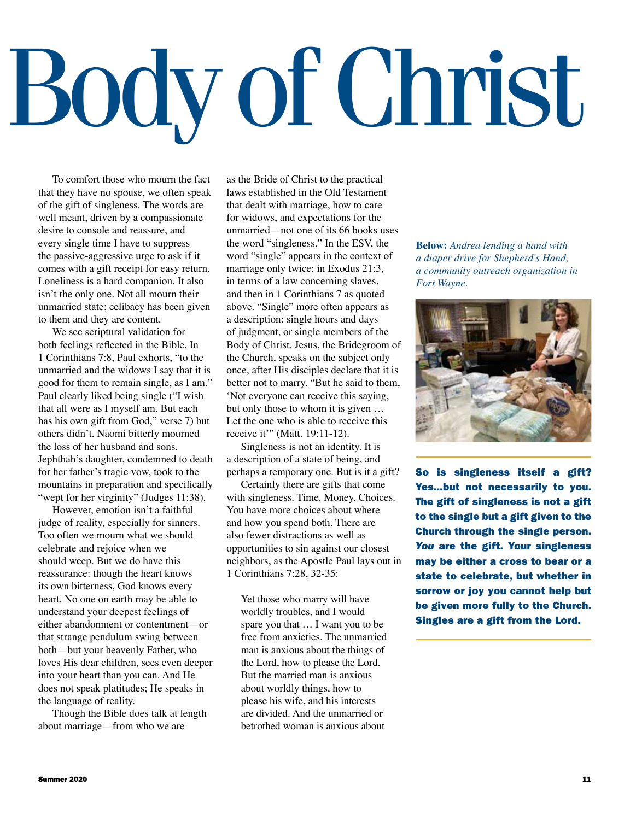## Body of Christ

To comfort those who mourn the fact that they have no spouse, we often speak of the gift of singleness. The words are well meant, driven by a compassionate desire to console and reassure, and every single time I have to suppress the passive-aggressive urge to ask if it comes with a gift receipt for easy return. Loneliness is a hard companion. It also isn't the only one. Not all mourn their unmarried state; celibacy has been given to them and they are content.

We see scriptural validation for both feelings reflected in the Bible. In 1 Corinthians 7:8, Paul exhorts, "to the unmarried and the widows I say that it is good for them to remain single, as I am." Paul clearly liked being single ("I wish that all were as I myself am. But each has his own gift from God," verse 7) but others didn't. Naomi bitterly mourned the loss of her husband and sons. Jephthah's daughter, condemned to death for her father's tragic vow, took to the mountains in preparation and specifically "wept for her virginity" (Judges 11:38).

However, emotion isn't a faithful judge of reality, especially for sinners. Too often we mourn what we should celebrate and rejoice when we should weep. But we do have this reassurance: though the heart knows its own bitterness, God knows every heart. No one on earth may be able to understand your deepest feelings of either abandonment or contentment—or that strange pendulum swing between both—but your heavenly Father, who loves His dear children, sees even deeper into your heart than you can. And He does not speak platitudes; He speaks in the language of reality.

Though the Bible does talk at length about marriage—from who we are

as the Bride of Christ to the practical laws established in the Old Testament that dealt with marriage, how to care for widows, and expectations for the unmarried—not one of its 66 books uses the word "singleness." In the ESV, the word "single" appears in the context of marriage only twice: in Exodus 21:3, in terms of a law concerning slaves, and then in 1 Corinthians 7 as quoted above. "Single" more often appears as a description: single hours and days of judgment, or single members of the Body of Christ. Jesus, the Bridegroom of the Church, speaks on the subject only once, after His disciples declare that it is better not to marry. "But he said to them, 'Not everyone can receive this saying, but only those to whom it is given … Let the one who is able to receive this receive it'" (Matt. 19:11-12).

Singleness is not an identity. It is a description of a state of being, and perhaps a temporary one. But is it a gift?

Certainly there are gifts that come with singleness. Time. Money. Choices. You have more choices about where and how you spend both. There are also fewer distractions as well as opportunities to sin against our closest neighbors, as the Apostle Paul lays out in 1 Corinthians 7:28, 32-35:

Yet those who marry will have worldly troubles, and I would spare you that … I want you to be free from anxieties. The unmarried man is anxious about the things of the Lord, how to please the Lord. But the married man is anxious about worldly things, how to please his wife, and his interests are divided. And the unmarried or betrothed woman is anxious about

**Below:** *Andrea lending a hand with a diaper drive for Shepherd's Hand, a community outreach organization in Fort Wayne.* 



So is singleness itself a gift? Yes…but not necessarily to you. The gift of singleness is not a gift to the single but a gift given to the Church through the single person. *You* are the gift. Your singleness may be either a cross to bear or a state to celebrate, but whether in sorrow or joy you cannot help but be given more fully to the Church. Singles are a gift from the Lord.